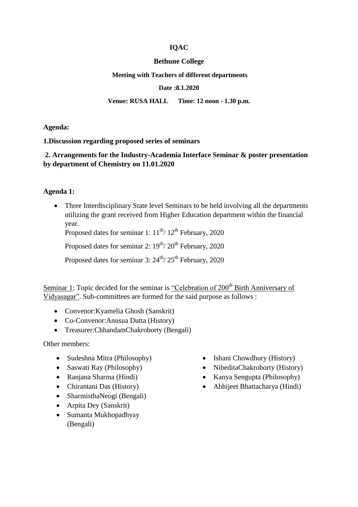#### **IQAC**

#### **Bethune College**

#### **Meeting with Teachers of different departments**

#### **Date :8.1.2020**

#### **Venue: RUSA HALL Time: 12 noon - 1.30 p.m.**

**Agenda:**

**1.Discussion regarding proposed series of seminars**

## **2. Arrangements for the Industry-Academia Interface Seminar & poster presentation by department of Chemistry on 11.01.2020**

#### **Agenda 1:**

• Three Interdisciplinary State level Seminars to be held involving all the departments utilizing the grant received from Higher Education department within the financial year.

Proposed dates for seminar 1:  $11^{th}$ /  $12^{th}$  February, 2020

Proposed dates for seminar 2:  $19^{th}$ /  $20^{th}$  February, 2020

Proposed dates for seminar  $3: 24^{th} / 25^{th}$  February, 2020

Seminar 1: Topic decided for the seminar is "Celebration of 200<sup>th</sup> Birth Anniversary of Vidyasagar". Sub-committees are formed for the said purpose as follows :

- Convenor:Kyamelia Ghosh (Sanskrit)
- Co-Convenor:Anusua Dutta (History)
- Treasurer: Chhandam Chakroborty (Bengali)

Other members:

- Sudeshna Mitra (Philosophy)
- Saswati Ray (Philosophy)
- Ranjana Sharma (Hindi)
- Chirantani Das (History)
- SharmisthaNeogi (Bengali)
- Arpita Dey (Sanskrit)
- Sumanta Mukhopadhyay (Bengali)
- Ishani Chowdhury (History)
- NibeditaChakroborty (History)
- Kanya Sengupta (Philosophy)
- Abhijeet Bhattacharya (Hindi)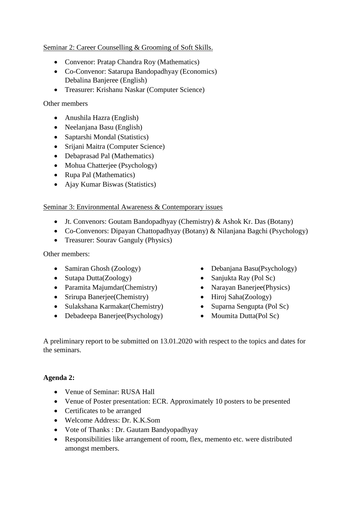## Seminar 2: Career Counselling & Grooming of Soft Skills.

- Convenor: Pratap Chandra Roy (Mathematics)
- Co-Convenor: Satarupa Bandopadhyay (Economics) Debalina Banjeree (English)
- Treasurer: Krishanu Naskar (Computer Science)

## Other members

- Anushila Hazra (English)
- Neelanjana Basu (English)
- Saptarshi Mondal (Statistics)
- Srijani Maitra (Computer Science)
- Debaprasad Pal (Mathematics)
- Mohua Chatterjee (Psychology)
- Rupa Pal (Mathematics)
- Ajay Kumar Biswas (Statistics)

#### Seminar 3: Environmental Awareness & Contemporary issues

- Jt. Convenors: Goutam Bandopadhyay (Chemistry) & Ashok Kr. Das (Botany)
- Co-Convenors: Dipayan Chattopadhyay (Botany) & Nilanjana Bagchi (Psychology)
- Treasurer: Sourav Ganguly (Physics)

Other members:

- Samiran Ghosh (Zoology)
- Sutapa Dutta(Zoology)
- Paramita Majumdar(Chemistry)
- Srirupa Banerjee(Chemistry)
- Sulakshana Karmakar(Chemistry)
- Debadeepa Banerjee(Psychology)
- Debanjana Basu(Psychology)
- Sanjukta Ray (Pol Sc)
- Narayan Banerjee(Physics)
- Hiroj Saha(Zoology)
- Suparna Sengupta (Pol Sc)
- Moumita Dutta(Pol Sc)

A preliminary report to be submitted on 13.01.2020 with respect to the topics and dates for the seminars.

# **Agenda 2:**

- Venue of Seminar: RUSA Hall
- Venue of Poster presentation: ECR. Approximately 10 posters to be presented
- Certificates to be arranged
- Welcome Address: Dr. K.K.Som
- Vote of Thanks : Dr. Gautam Bandyopadhyay
- Responsibilities like arrangement of room, flex, memento etc. were distributed amongst members.